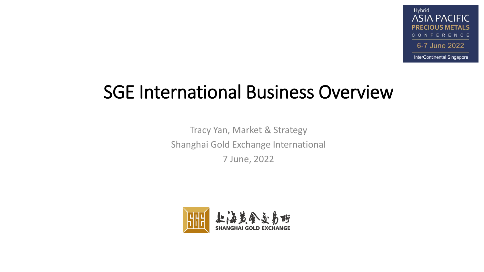#### SGE International Business Overview

Tracy Yan, Market & Strategy Shanghai Gold Exchange International 7 June, 2022

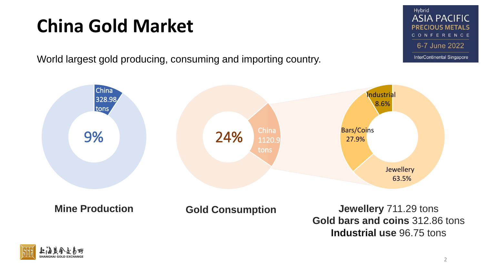# **China Gold Market**

World largest gold producing, consuming and importing country.





Hybrid **ASIA PACIFIC PRECIOUS METALS** CONFERENCE 6-7 June 2022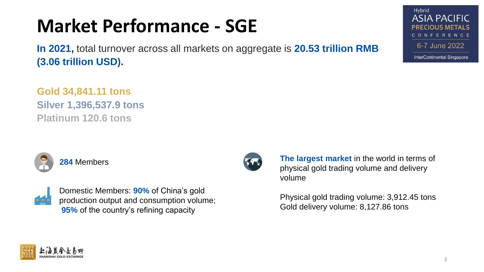### **Market Performance - SGE**

**In 2021,** total turnover across all markets on aggregate is **20.53 trillion RMB (3.06 trillion USD).**

**Gold 34,841.11 tons Silver 1,396,537.9 tons Platinum 120.6 tons**





Domestic Members: **90%** of China's gold production output and consumption volume; **95%** of the country's refining capacity



**The largest market** in the world in terms of physical gold trading volume and delivery volume

Physical gold trading volume: 3,912.45 tons Gold delivery volume: 8,127.86 tons



Hybrid **ASIA PACIFIC PRECIOUS METALS** CONFERENCE 6-7 June 2022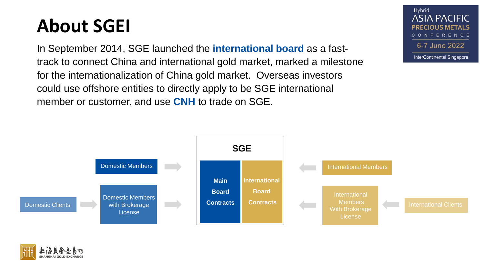### **About SGEI**

In September 2014, SGE launched the **international board** as a fasttrack to connect China and international gold market, marked a milestone for the internationalization of China gold market. Overseas investors could use offshore entities to directly apply to be SGE international member or customer, and use **CNH** to trade on SGE.

Hybrid **ASIA PACIFIC PRECIOUS METALS** CONFERENCE 6-7 June 2022 InterContinental Singapore



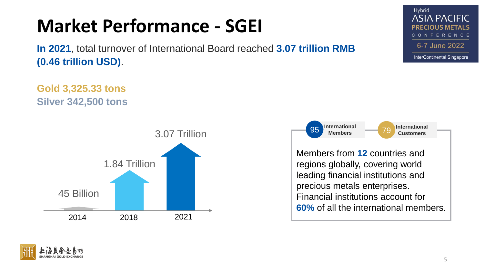# **Market Performance - SGEI**

**In 2021**, total turnover of International Board reached **3.07 trillion RMB (0.46 trillion USD)**.

**Gold 3,325.33 tons Silver 342,500 tons**





Members from **12** countries and regions globally, covering world leading financial institutions and precious metals enterprises. Financial institutions account for **60%** of all the international members.



Hybrid

**ASIA PACIFIC** 

CONFERENCE

6-7 June 2022

InterContinental Singapore

IOUS METALS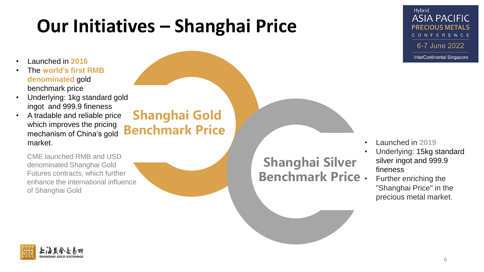#### • Launched in **2016**

- The **world's first RMB denominated** gold benchmark price
- Underlying: 1kg standard gold ingot and 999.9 fineness
- A tradable and reliable price which improves the pricing mechanism of China's gold market.

#### **Shanghai Gold Benchmark Price**

CME launched RMB and USD denominated Shanghai Gold Futures contracts, which further enhance the international influence of Shanghai Gold

#### **Shanghai Silver Benchmark Price**

Hybrid **ASIA PACIFIC PRECIOUS METALS** CONFERENCE 6-7 June 2022

- Launched in **2019**
	- Underlying: 15kg standard silver ingot and 999.9 fineness
- Further enriching the "Shanghai Price" in the precious metal market.

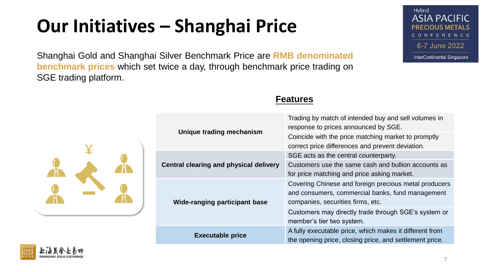Shanghai Gold and Shanghai Silver Benchmark Price are **RMB denominated benchmark prices** which set twice a day, through benchmark price trading on SGE trading platform.



| <b>Unique trading mechanism</b>               | Trading by match of intended buy and sell volumes in<br>response to prices announced by SGE.                                                   |
|-----------------------------------------------|------------------------------------------------------------------------------------------------------------------------------------------------|
|                                               | Coincide with the price matching market to promptly                                                                                            |
|                                               | correct price differences and prevent deviation.                                                                                               |
| <b>Central clearing and physical delivery</b> | SGE acts as the central counterparty.                                                                                                          |
|                                               | Customers use the same cash and bullion accounts as                                                                                            |
|                                               | for price matching and price asking market.                                                                                                    |
| Wide-ranging participant base                 | Covering Chinese and foreign precious metal producers<br>and consumers, commercial banks, fund management<br>companies, securities firms, etc. |
|                                               | Customers may directly trade through SGE's system or<br>member's tier two system.                                                              |
| <b>Executable price</b>                       | A fully executable price, which makes it different from<br>the opening price, closing price, and settlement price.                             |

#### **Features**

| ding mechanism         | Trading by match of intended buy and sell volumes in<br>response to prices announced by SGE.                                                   |
|------------------------|------------------------------------------------------------------------------------------------------------------------------------------------|
|                        | Coincide with the price matching market to promptly<br>correct price differences and prevent deviation.                                        |
| gand physical delivery | SGE acts as the central counterparty.                                                                                                          |
|                        | Customers use the same cash and bullion accounts as<br>for price matching and price asking market.                                             |
|                        |                                                                                                                                                |
| ng participant base    | Covering Chinese and foreign precious metal producers<br>and consumers, commercial banks, fund management<br>companies, securities firms, etc. |
|                        | Customers may directly trade through SGE's system or<br>member's tier two system.                                                              |
| utable price           | A fully executable price, which makes it different from                                                                                        |



Hybrid **ASIA PACIFIC PRECIOUS METALS** CONFERENCE 6-7 June 2022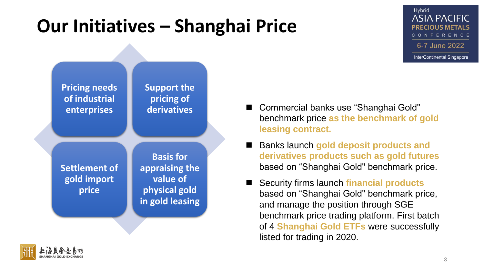#### Hybrid **ASIA PACIFIC PRECIOUS METALS** CONFERENCE 6-7 June 2022 InterContinental Singapore



- Commercial banks use "Shanghai Gold" benchmark price **as the benchmark of gold leasing contract.**
- ◼ Banks launch **gold deposit products and derivatives products such as gold futures** based on "Shanghai Gold" benchmark price.
- ◼ Security firms launch **financial products**  based on "Shanghai Gold" benchmark price, and manage the position through SGE benchmark price trading platform. First batch of 4 **Shanghai Gold ETFs** were successfully listed for trading in 2020.

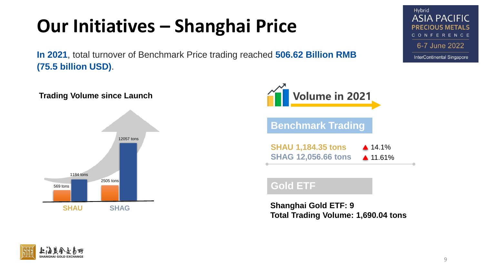**In 2021**, total turnover of Benchmark Price trading reached **506.62 Billion RMB (75.5 billion USD)**.





**Shanghai Gold ETF: 9 Total Trading Volume: 1,690.04 tons**

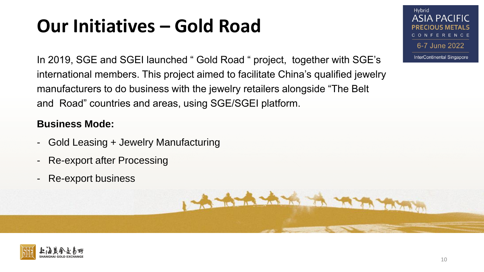In 2019, SGE and SGEI launched " Gold Road " project, together with SGE's international members. This project aimed to facilitate China's qualified jewelry manufacturers to do business with the jewelry retailers alongside "The Belt and Road" countries and areas, using SGE/SGEI platform.

A BLACK A TANK

#### **Business Mode:**

- Gold Leasing + Jewelry Manufacturing
- Re-export after Processing
- Re-export business



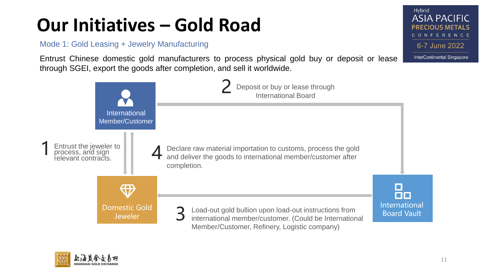Mode 1: Gold Leasing + Jewelry Manufacturing

Entrust Chinese domestic gold manufacturers to process physical gold buy or deposit or lease through SGEI, export the goods after completion, and sell it worldwide.





Hybrid

**ASIA PACIFIC PRECIOUS METALS** CONFERENCE

6-7 June 2022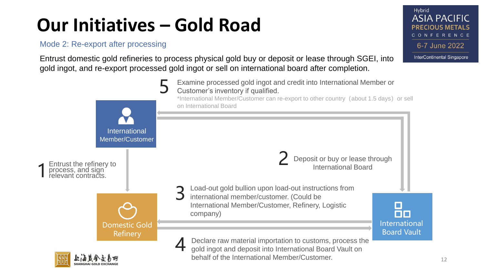Mode 2: Re-export after processing

Entrust domestic gold refineries to process physical gold buy or deposit or lease through SGEI, into gold ingot, and re-export processed gold ingot or sell on international board after completion.



**ASIA PACIFIC PRECIOUS METALS** CONFERENCE 6-7 June 2022

Hybrid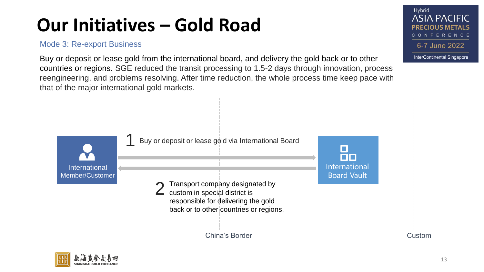#### Mode 3: Re-export Business

Buy or deposit or lease gold from the international board, and delivery the gold back or to other countries or regions. SGE reduced the transit processing to 1.5-2 days through innovation, process reengineering, and problems resolving. After time reduction, the whole process time keep pace with that of the major international gold markets.





Hybrid

**ASIA PACIFIC PRECIOUS METALS** CONFERENCE 6-7 June 2022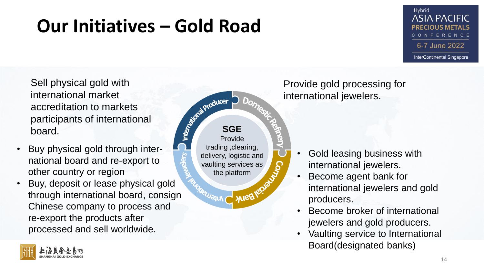#### Hybrid **ASIA PACIFIC** PRFCIOUS MFTALS CONFERENCE 6-7 June 2022 InterContinental Singapore

Sell physical gold with international market accreditation to markets participants of international board.

- Buy physical gold through international board and re-export to other country or region
- Buy, deposit or lease physical gold through international board, consign Chinese company to process and re-export the products after processed and sell worldwide.



Provide gold processing for international jewelers.

- Gold leasing business with international jewelers.
- Become agent bank for international jewelers and gold producers.
- Become broker of international jewelers and gold producers.
- Vaulting service to International Board(designated banks)